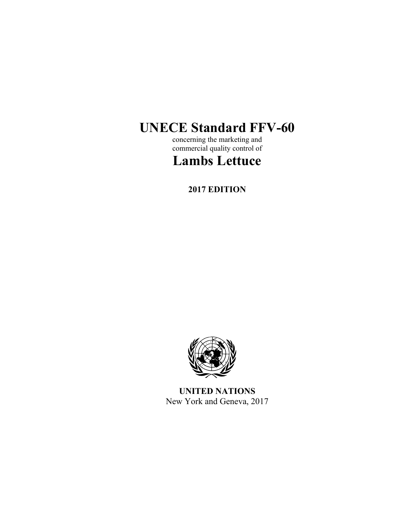# **UNECE Standard FFV-60**

concerning the marketing and commercial quality control of

# **Lambs Lettuce**

**2017 EDITION** 



**UNITED NATIONS**  New York and Geneva, 2017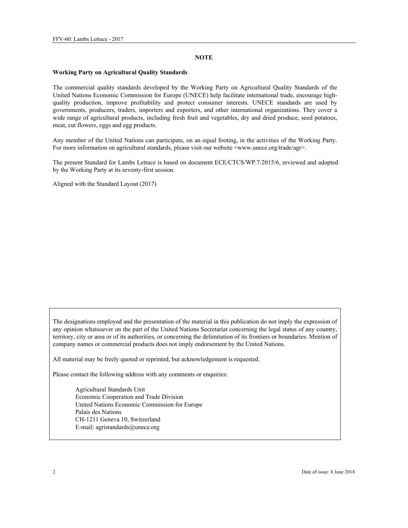#### **NOTE**

#### **Working Party on Agricultural Quality Standards**

The commercial quality standards developed by the Working Party on Agricultural Quality Standards of the United Nations Economic Commission for Europe (UNECE) help facilitate international trade, encourage highquality production, improve profitability and protect consumer interests. UNECE standards are used by governments, producers, traders, importers and exporters, and other international organizations. They cover a wide range of agricultural products, including fresh fruit and vegetables, dry and dried produce, seed potatoes, meat, cut flowers, eggs and egg products.

Any member of the United Nations can participate, on an equal footing, in the activities of the Working Party. For more information on agricultural standards, please visit our website <www.unece.org/trade/agr>.

The present Standard for Lambs Lettuce is based on document ECE/CTCS/WP.7/2015/6, reviewed and adopted by the Working Party at its seventy-first session.

Aligned with the Standard Layout (2017)

The designations employed and the presentation of the material in this publication do not imply the expression of any opinion whatsoever on the part of the United Nations Secretariat concerning the legal status of any country, territory, city or area or of its authorities, or concerning the delimitation of its frontiers or boundaries. Mention of company names or commercial products does not imply endorsement by the United Nations.

All material may be freely quoted or reprinted, but acknowledgement is requested.

Please contact the following address with any comments or enquiries:

Agricultural Standards Unit Economic Cooperation and Trade Division United Nations Economic Commission for Europe Palais des Nations CH-1211 Geneva 10, Switzerland E-mail: agristandards@unece.org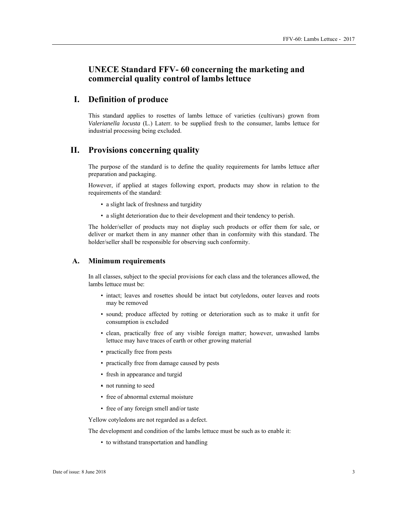# **UNECE Standard FFV- 60 concerning the marketing and commercial quality control of lambs lettuce**

## **I. Definition of produce**

This standard applies to rosettes of lambs lettuce of varieties (cultivars) grown from *Valerianella locusta* (L.) Laterr. to be supplied fresh to the consumer, lambs lettuce for industrial processing being excluded.

# **II. Provisions concerning quality**

The purpose of the standard is to define the quality requirements for lambs lettuce after preparation and packaging.

However, if applied at stages following export, products may show in relation to the requirements of the standard:

- a slight lack of freshness and turgidity
- a slight deterioration due to their development and their tendency to perish.

The holder/seller of products may not display such products or offer them for sale, or deliver or market them in any manner other than in conformity with this standard. The holder/seller shall be responsible for observing such conformity.

#### **A. Minimum requirements**

In all classes, subject to the special provisions for each class and the tolerances allowed, the lambs lettuce must be:

- intact; leaves and rosettes should be intact but cotyledons, outer leaves and roots may be removed
- sound; produce affected by rotting or deterioration such as to make it unfit for consumption is excluded
- clean, practically free of any visible foreign matter; however, unwashed lambs lettuce may have traces of earth or other growing material
- practically free from pests
- practically free from damage caused by pests
- fresh in appearance and turgid
- not running to seed
- free of abnormal external moisture
- free of any foreign smell and/or taste

Yellow cotyledons are not regarded as a defect.

The development and condition of the lambs lettuce must be such as to enable it:

• to withstand transportation and handling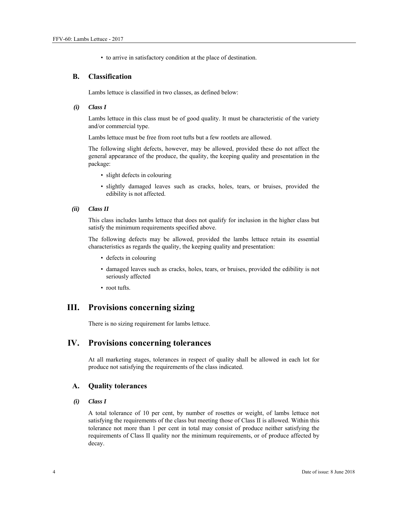• to arrive in satisfactory condition at the place of destination.

## **B. Classification**

Lambs lettuce is classified in two classes, as defined below:

 *(i) Class I* 

Lambs lettuce in this class must be of good quality. It must be characteristic of the variety and/or commercial type.

Lambs lettuce must be free from root tufts but a few rootlets are allowed.

The following slight defects, however, may be allowed, provided these do not affect the general appearance of the produce, the quality, the keeping quality and presentation in the package:

- slight defects in colouring
- slightly damaged leaves such as cracks, holes, tears, or bruises, provided the edibility is not affected.

#### *(ii) Class II*

This class includes lambs lettuce that does not qualify for inclusion in the higher class but satisfy the minimum requirements specified above.

The following defects may be allowed, provided the lambs lettuce retain its essential characteristics as regards the quality, the keeping quality and presentation:

- defects in colouring
- damaged leaves such as cracks, holes, tears, or bruises, provided the edibility is not seriously affected
- root tufts.

## **III. Provisions concerning sizing**

There is no sizing requirement for lambs lettuce.

### **IV. Provisions concerning tolerances**

At all marketing stages, tolerances in respect of quality shall be allowed in each lot for produce not satisfying the requirements of the class indicated.

#### **A. Quality tolerances**

#### *(i) Class I*

A total tolerance of 10 per cent, by number of rosettes or weight, of lambs lettuce not satisfying the requirements of the class but meeting those of Class II is allowed. Within this tolerance not more than 1 per cent in total may consist of produce neither satisfying the requirements of Class II quality nor the minimum requirements, or of produce affected by decay.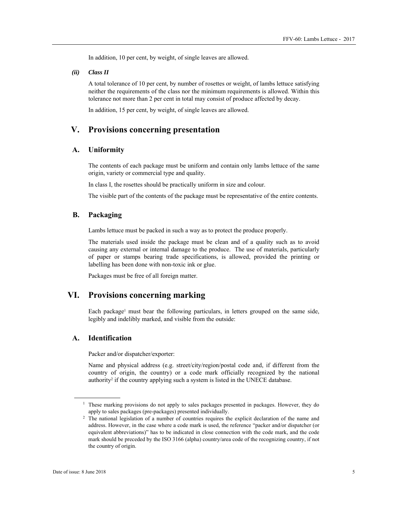In addition, 10 per cent, by weight, of single leaves are allowed.

 *(ii) Class II*

A total tolerance of 10 per cent, by number of rosettes or weight, of lambs lettuce satisfying neither the requirements of the class nor the minimum requirements is allowed. Within this tolerance not more than 2 per cent in total may consist of produce affected by decay.

In addition, 15 per cent, by weight, of single leaves are allowed.

## **V. Provisions concerning presentation**

## **A. Uniformity**

The contents of each package must be uniform and contain only lambs lettuce of the same origin, variety or commercial type and quality.

In class I, the rosettes should be practically uniform in size and colour.

The visible part of the contents of the package must be representative of the entire contents.

#### **B. Packaging**

Lambs lettuce must be packed in such a way as to protect the produce properly.

The materials used inside the package must be clean and of a quality such as to avoid causing any external or internal damage to the produce. The use of materials, particularly of paper or stamps bearing trade specifications, is allowed, provided the printing or labelling has been done with non-toxic ink or glue.

Packages must be free of all foreign matter.

## **VI. Provisions concerning marking**

Each package<sup>1</sup> must bear the following particulars, in letters grouped on the same side, legibly and indelibly marked, and visible from the outside:

#### **A. Identification**

Packer and/or dispatcher/exporter:

Name and physical address (e.g. street/city/region/postal code and, if different from the country of origin, the country) or a code mark officially recognized by the national authority<sup>2</sup> if the country applying such a system is listed in the UNECE database.

 $\overline{a}$ 

<sup>&</sup>lt;sup>1</sup> These marking provisions do not apply to sales packages presented in packages. However, they do apply to sales packages (pre-packages) presented individually.<br><sup>2</sup> The national legislation of a number of countries requires the explicit declaration of the name and

address. However, in the case where a code mark is used, the reference "packer and/or dispatcher (or equivalent abbreviations)" has to be indicated in close connection with the code mark, and the code mark should be preceded by the ISO 3166 (alpha) country/area code of the recognizing country, if not the country of origin.